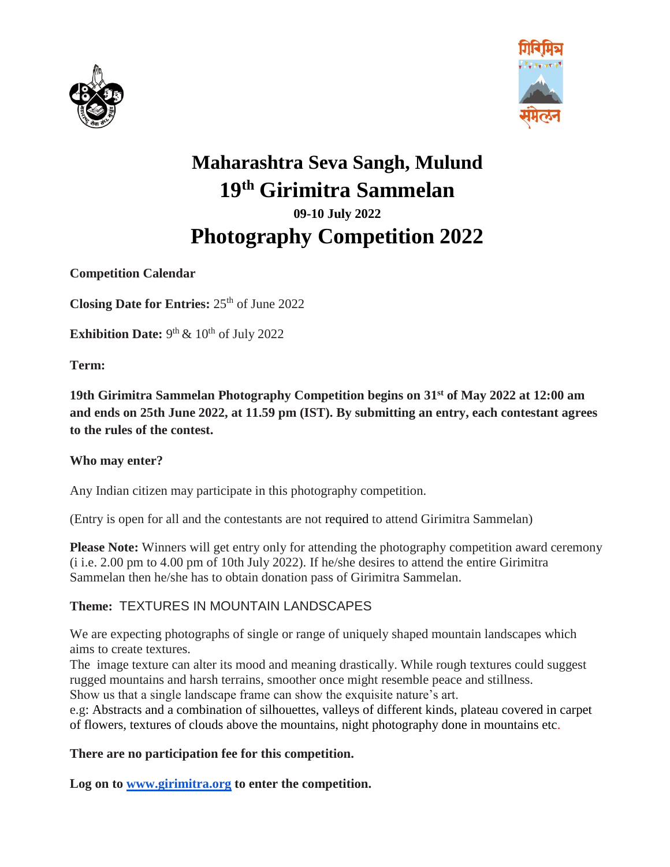



# **Maharashtra Seva Sangh, Mulund 19th Girimitra Sammelan 09-10 July 2022 Photography Competition 2022**

**Competition Calendar**

**Closing Date for Entries: 25<sup>th</sup> of June 2022** 

**Exhibition Date:**  $9<sup>th</sup>$  &  $10<sup>th</sup>$  of July 2022

**Term:**

**19th Girimitra Sammelan Photography Competition begins on 31st of May 2022 at 12:00 am and ends on 25th June 2022, at 11.59 pm (IST). By submitting an entry, each contestant agrees to the rules of the contest.**

#### **Who may enter?**

Any Indian citizen may participate in this photography competition.

(Entry is open for all and the contestants are not required to attend Girimitra Sammelan)

**Please Note:** Winners will get entry only for attending the photography competition award ceremony (i i.e. 2.00 pm to 4.00 pm of 10th July 2022). If he/she desires to attend the entire Girimitra Sammelan then he/she has to obtain donation pass of Girimitra Sammelan.

#### **Theme:** TEXTURES IN MOUNTAIN LANDSCAPES

We are expecting photographs of single or range of uniquely shaped mountain landscapes which aims to create textures.

The image texture can alter its mood and meaning drastically. While rough textures could suggest rugged mountains and harsh terrains, smoother once might resemble peace and stillness.

Show us that a single landscape frame can show the exquisite nature's art.

e.g: Abstracts and a combination of silhouettes, valleys of different kinds, plateau covered in carpet of flowers, textures of clouds above the mountains, night photography done in mountains etc.

#### **There are no participation fee for this competition.**

**Log on t[o](http://www.girimitra.org/) [www.girimitra.org](http://www.girimitra.org/) to enter the competition.**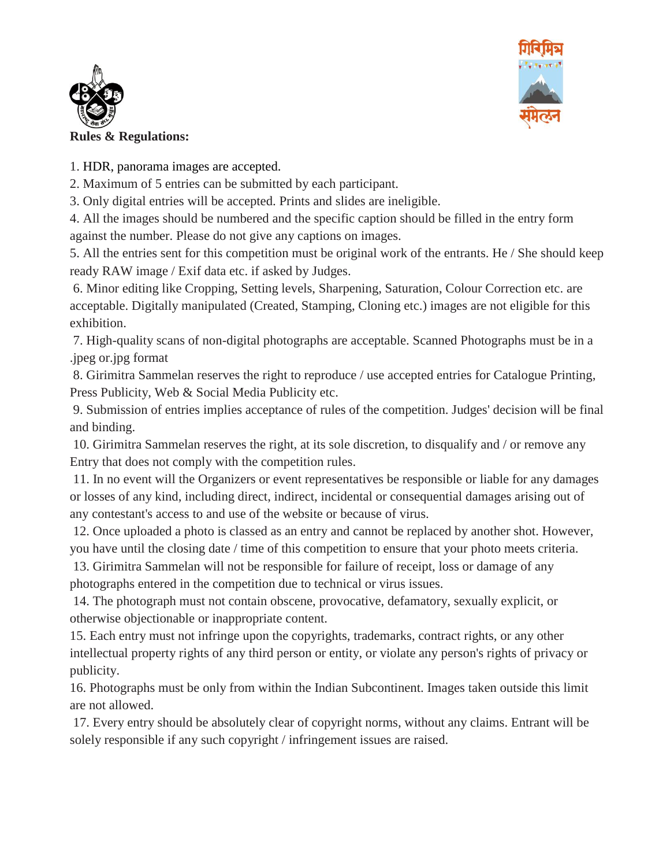



1. HDR, panorama images are accepted.

2. Maximum of 5 entries can be submitted by each participant.

3. Only digital entries will be accepted. Prints and slides are ineligible.

4. All the images should be numbered and the specific caption should be filled in the entry form against the number. Please do not give any captions on images.

5. All the entries sent for this competition must be original work of the entrants. He / She should keep ready RAW image / Exif data etc. if asked by Judges.

6. Minor editing like Cropping, Setting levels, Sharpening, Saturation, Colour Correction etc. are acceptable. Digitally manipulated (Created, Stamping, Cloning etc.) images are not eligible for this exhibition.

7. High-quality scans of non-digital photographs are acceptable. Scanned Photographs must be in a .jpeg or.jpg format

8. Girimitra Sammelan reserves the right to reproduce / use accepted entries for Catalogue Printing, Press Publicity, Web & Social Media Publicity etc.

9. Submission of entries implies acceptance of rules of the competition. Judges' decision will be final and binding.

10. Girimitra Sammelan reserves the right, at its sole discretion, to disqualify and / or remove any Entry that does not comply with the competition rules.

11. In no event will the Organizers or event representatives be responsible or liable for any damages or losses of any kind, including direct, indirect, incidental or consequential damages arising out of any contestant's access to and use of the website or because of virus.

12. Once uploaded a photo is classed as an entry and cannot be replaced by another shot. However, you have until the closing date / time of this competition to ensure that your photo meets criteria.

13. Girimitra Sammelan will not be responsible for failure of receipt, loss or damage of any photographs entered in the competition due to technical or virus issues.

14. The photograph must not contain obscene, provocative, defamatory, sexually explicit, or otherwise objectionable or inappropriate content.

15. Each entry must not infringe upon the copyrights, trademarks, contract rights, or any other intellectual property rights of any third person or entity, or violate any person's rights of privacy or publicity.

16. Photographs must be only from within the Indian Subcontinent. Images taken outside this limit are not allowed.

17. Every entry should be absolutely clear of copyright norms, without any claims. Entrant will be solely responsible if any such copyright / infringement issues are raised.